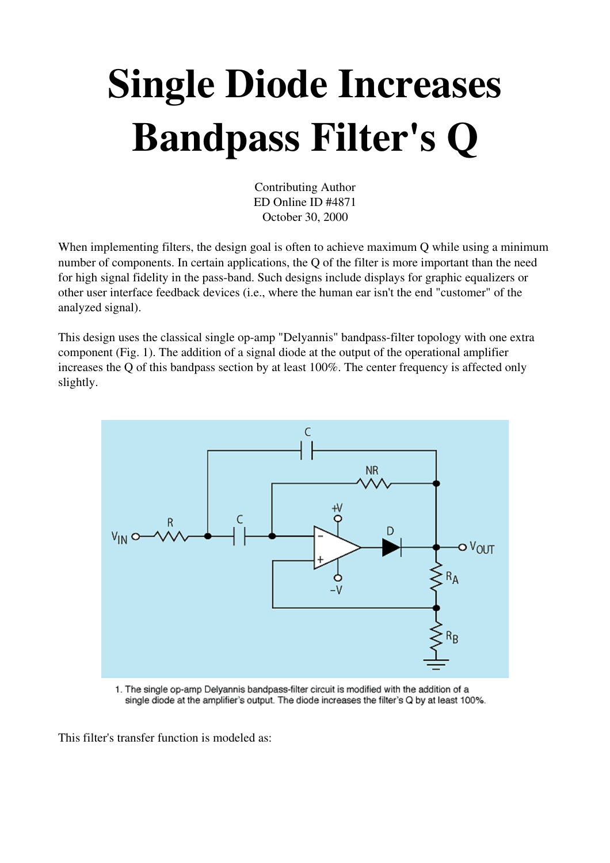## Single Diode Increases Bandpass Filter's Q

Contributing Author ED Online ID #4871 October 30, 2000

When implementing filters, the design goal is often to achieve maximum Q while using a minimum number of components. In certain applications, the Q of the filter is more important than the need for high signal fidelity in the pass-band. Such designs include displays for graphic equalizers or other user interface feedback devices (i.e., where the human ear isn't the end "customer" of the analyzed signal).

This design uses the classical single op-amp "Delyannis" bandpass-filter topology with one extra component (Fig. 1). The addition of a signal diode at the output of the operational amplifier increases the Q of this bandpass section by at least 100%. The center frequency is affected only slightly.



1. The single op-amp Delyannis bandpass-filter circuit is modified with the addition of a single diode at the amplifier's output. The diode increases the filter's Q by at least 100%.

This filter's transfer function is modeled as: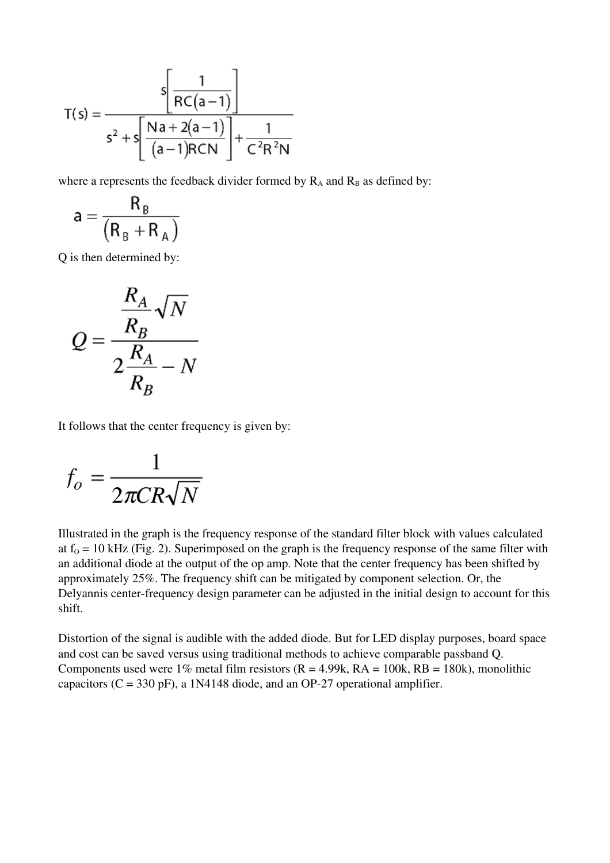$$
T(s) = \frac{s \left[ \frac{1}{RC(a-1)} \right]}{s^{2} + s \left[ \frac{Na + 2(a-1)}{(a-1)RCN} \right] + \frac{1}{C^{2}R^{2}N}}
$$

where a represents the feedback divider formed by  $R_A$  and  $R_B$  as defined by:

$$
a = \frac{R_B}{(R_B + R_A)}
$$

Q is then determined by:

$$
Q = \frac{\frac{R_A}{R_B}\sqrt{N}}{2\frac{R_A}{R_B} - N}
$$

It follows that the center frequency is given by:

$$
f_o = \frac{1}{2\pi CR\sqrt{N}}
$$

Illustrated in the graph is the frequency response of the standard filter block with values calculated at  $f_0 = 10$  kHz (Fig. 2). Superimposed on the graph is the frequency response of the same filter with an additional diode at the output of the op amp. Note that the center frequency has been shifted by approximately 25%. The frequency shift can be mitigated by component selection. Or, the Delyannis center-frequency design parameter can be adjusted in the initial design to account for this shift.

Distortion of the signal is audible with the added diode. But for LED display purposes, board space and cost can be saved versus using traditional methods to achieve comparable passband Q. Components used were 1% metal film resistors  $(R = 4.99k, RA = 100k, RB = 180k)$ , monolithic capacitors ( $C = 330$  pF), a 1N4148 diode, and an OP-27 operational amplifier.